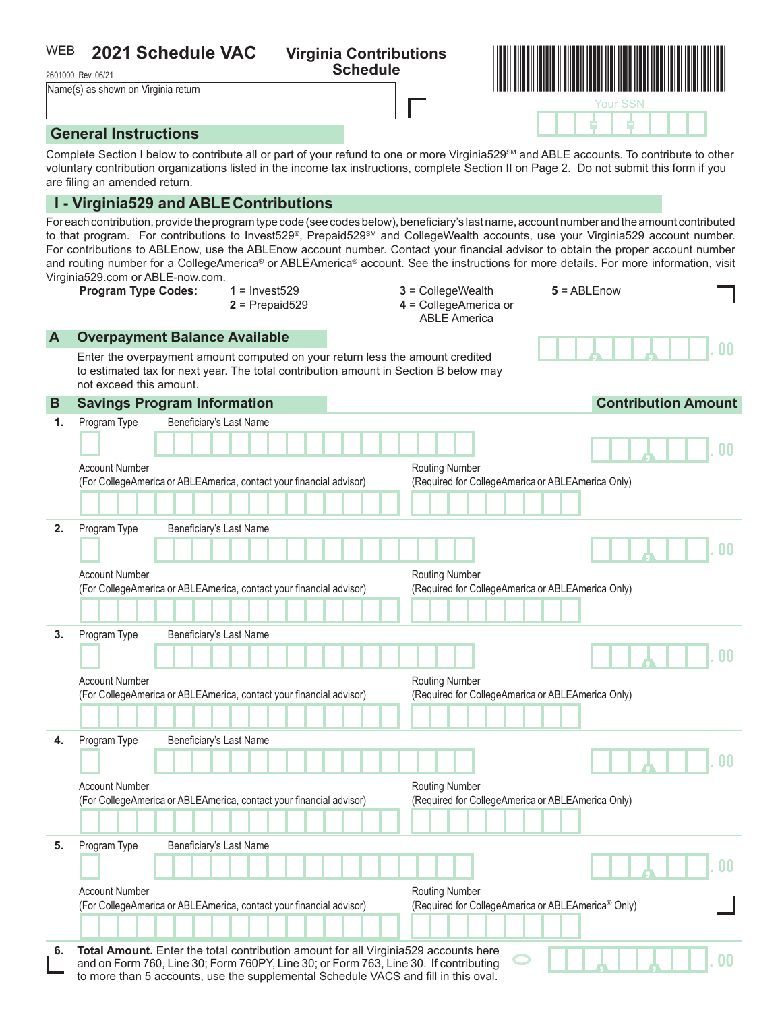#### **2021 Schedule VAC Virginia Contributions**  WEB

2601000 Rev. 06/21

WEB 2021 Schedule VAC Virginia Contributions **Schedule WAC Schedule** Schedule Schedule (s) as shown on Virginia return and the Vacine of Schedule (s) as shown on Virginia return and the Vacine of Vacine of Virginia return Your SSN

- -

, , **. 00**

## **General Instructions**

Complete Section I below to contribute all or part of your refund to one or more Virginia529<sup>SM</sup> and ABLE accounts. To contribute to other voluntary contribution organizations listed in the income tax instructions, complete Section II on Page 2. Do not submit this form if you are filing an amended return.

### **I - Virginia529 and ABLEContributions**

For each contribution, provide the program type code (see codes below), beneficiary's last name, account number and the amount contributed to that program. For contributions to Invest529®, Prepaid529<sup>SM</sup> and CollegeWealth accounts, use your Virginia529 account number. For contributions to ABLEnow, use the ABLEnow account number. Contact your financial advisor to obtain the proper account number and routing number for a CollegeAmerica® or ABLEAmerica® account. See the instructions for more details. For more information, visit Virginia529.com or ABLE-now.com.

**Program Type Codes: 1** = Invest529 **3** = CollegeWealth **5** = ABLEnow

- 
- **2** = Prepaid529 **4** = CollegeAmerica or

ABLE America

**Overpayment Balance Available** 

Enter the overpayment amount computed on your return less the amount credited to estimated tax for next year. The total contribution amount in Section B below may not exceed this amount.

| Beneficiary's Last Name<br>Program Type<br>1.<br><b>Account Number</b><br><b>Routing Number</b><br>(Required for CollegeAmerica or ABLEAmerica Only)<br>(For CollegeAmerica or ABLEAmerica, contact your financial advisor)<br>Program Type<br>2.<br>Beneficiary's Last Name<br><b>Account Number</b><br><b>Routing Number</b><br>(Required for CollegeAmerica or ABLEAmerica Only)<br>(For CollegeAmerica or ABLEAmerica, contact your financial advisor) | 0 <sup>0</sup><br>0 <sub>0</sub> |
|------------------------------------------------------------------------------------------------------------------------------------------------------------------------------------------------------------------------------------------------------------------------------------------------------------------------------------------------------------------------------------------------------------------------------------------------------------|----------------------------------|
|                                                                                                                                                                                                                                                                                                                                                                                                                                                            |                                  |
|                                                                                                                                                                                                                                                                                                                                                                                                                                                            |                                  |
|                                                                                                                                                                                                                                                                                                                                                                                                                                                            |                                  |
|                                                                                                                                                                                                                                                                                                                                                                                                                                                            |                                  |
|                                                                                                                                                                                                                                                                                                                                                                                                                                                            |                                  |
|                                                                                                                                                                                                                                                                                                                                                                                                                                                            |                                  |
|                                                                                                                                                                                                                                                                                                                                                                                                                                                            |                                  |
|                                                                                                                                                                                                                                                                                                                                                                                                                                                            |                                  |
|                                                                                                                                                                                                                                                                                                                                                                                                                                                            |                                  |
| Program Type<br>Beneficiary's Last Name<br>3.                                                                                                                                                                                                                                                                                                                                                                                                              |                                  |
|                                                                                                                                                                                                                                                                                                                                                                                                                                                            | 00                               |
|                                                                                                                                                                                                                                                                                                                                                                                                                                                            |                                  |
| <b>Account Number</b><br>Routing Number<br>(Required for CollegeAmerica or ABLEAmerica Only)<br>(For CollegeAmerica or ABLEAmerica, contact your financial advisor)                                                                                                                                                                                                                                                                                        |                                  |
|                                                                                                                                                                                                                                                                                                                                                                                                                                                            |                                  |
| Program Type<br>Beneficiary's Last Name<br>4.                                                                                                                                                                                                                                                                                                                                                                                                              |                                  |
|                                                                                                                                                                                                                                                                                                                                                                                                                                                            | 0 <sub>0</sub>                   |
| <b>Account Number</b><br><b>Routing Number</b>                                                                                                                                                                                                                                                                                                                                                                                                             |                                  |
| (Required for CollegeAmerica or ABLEAmerica Only)<br>(For CollegeAmerica or ABLEAmerica, contact your financial advisor)                                                                                                                                                                                                                                                                                                                                   |                                  |
|                                                                                                                                                                                                                                                                                                                                                                                                                                                            |                                  |
| Program Type<br>Beneficiary's Last Name<br>5.                                                                                                                                                                                                                                                                                                                                                                                                              |                                  |
|                                                                                                                                                                                                                                                                                                                                                                                                                                                            | 0 <sub>0</sub>                   |
| <b>Account Number</b><br><b>Routing Number</b><br>(Required for CollegeAmerica or ABLEAmerica® Only)<br>(For CollegeAmerica or ABLEAmerica, contact your financial advisor)                                                                                                                                                                                                                                                                                |                                  |
|                                                                                                                                                                                                                                                                                                                                                                                                                                                            |                                  |
| Total Amount. Enter the total contribution amount for all Virginia529 accounts here<br>6.                                                                                                                                                                                                                                                                                                                                                                  |                                  |
| and on Form 760, Line 30; Form 760PY, Line 30; or Form 763, Line 30. If contributing<br>to more than 5 accounts, use the supplemental Schedule VACS and fill in this oval.                                                                                                                                                                                                                                                                                 | 00                               |